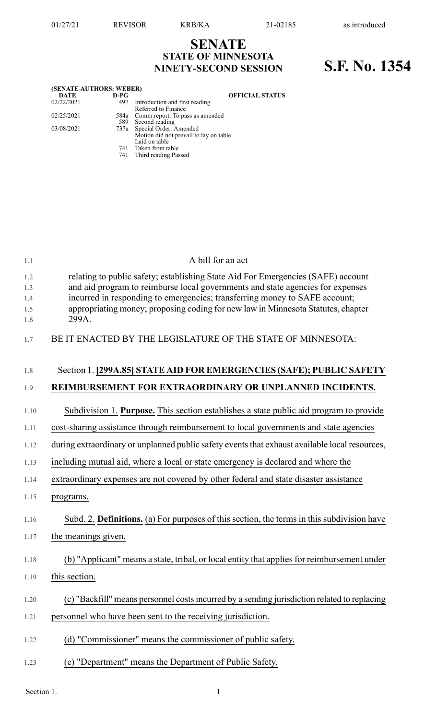## **SENATE STATE OF MINNESOTA NINETY-SECOND SESSION S.F. No. 1354**

| (SENATE AUTHORS: WEBER) |        |                                        |
|-------------------------|--------|----------------------------------------|
| <b>DATE</b>             | $D-PG$ | <b>OFFICIAL STATUS</b>                 |
| 02/22/2021              | 497    | Introduction and first reading         |
|                         |        | Referred to Finance                    |
| 02/25/2021              |        | 584a Comm report: To pass as amended   |
|                         |        | 589 Second reading                     |
| 03/08/2021              |        | 737a Special Order: Amended            |
|                         |        | Motion did not prevail to lay on table |
|                         |        | Laid on table                          |
|                         | 741    | Taken from table                       |
|                         | 741    | Third reading Passed                   |

| 1.1        | A bill for an act                                                                                                                                                  |
|------------|--------------------------------------------------------------------------------------------------------------------------------------------------------------------|
| 1.2<br>1.3 | relating to public safety; establishing State Aid For Emergencies (SAFE) account<br>and aid program to reimburse local governments and state agencies for expenses |
| 1.4        | incurred in responding to emergencies; transferring money to SAFE account;<br>appropriating money; proposing coding for new law in Minnesota Statutes, chapter     |
| 1.5<br>1.6 | 299A.                                                                                                                                                              |
| 1.7        | BE IT ENACTED BY THE LEGISLATURE OF THE STATE OF MINNESOTA:                                                                                                        |
| 1.8        | Section 1. [299A.85] STATE AID FOR EMERGENCIES (SAFE); PUBLIC SAFETY                                                                                               |
| 1.9        | REIMBURSEMENT FOR EXTRAORDINARY OR UNPLANNED INCIDENTS.                                                                                                            |
| 1.10       | Subdivision 1. Purpose. This section establishes a state public aid program to provide                                                                             |
| 1.11       | cost-sharing assistance through reimbursement to local governments and state agencies                                                                              |
| 1.12       | during extraordinary or unplanned public safety events that exhaust available local resources,                                                                     |
| 1.13       | including mutual aid, where a local or state emergency is declared and where the                                                                                   |
| 1.14       | extraordinary expenses are not covered by other federal and state disaster assistance                                                                              |
| 1.15       | programs.                                                                                                                                                          |
| 1.16       | Subd. 2. Definitions. (a) For purposes of this section, the terms in this subdivision have                                                                         |
| 1.17       | the meanings given.                                                                                                                                                |
| 1.18       | (b) "Applicant" means a state, tribal, or local entity that applies for reimbursement under                                                                        |
| 1.19       | this section.                                                                                                                                                      |
| 1.20       | (c) "Backfill" means personnel costs incurred by a sending jurisdiction related to replacing                                                                       |
| 1.21       | personnel who have been sent to the receiving jurisdiction.                                                                                                        |
| 1.22       | (d) "Commissioner" means the commissioner of public safety.                                                                                                        |
| 1.23       | (e) "Department" means the Department of Public Safety.                                                                                                            |

Section 1.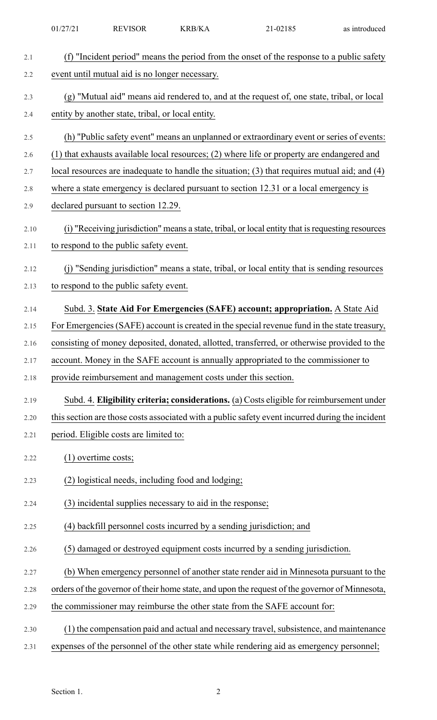| 2.1  | (f) "Incident period" means the period from the onset of the response to a public safety          |
|------|---------------------------------------------------------------------------------------------------|
| 2.2  | event until mutual aid is no longer necessary.                                                    |
| 2.3  | (g) "Mutual aid" means aid rendered to, and at the request of, one state, tribal, or local        |
| 2.4  | entity by another state, tribal, or local entity.                                                 |
| 2.5  | (h) "Public safety event" means an unplanned or extraordinary event or series of events:          |
| 2.6  | (1) that exhausts available local resources; (2) where life or property are endangered and        |
| 2.7  | local resources are inadequate to handle the situation; $(3)$ that requires mutual aid; and $(4)$ |
| 2.8  | where a state emergency is declared pursuant to section 12.31 or a local emergency is             |
| 2.9  | declared pursuant to section 12.29.                                                               |
| 2.10 | (i) "Receiving jurisdiction" means a state, tribal, or local entity that is requesting resources  |
| 2.11 | to respond to the public safety event.                                                            |
| 2.12 | (j) "Sending jurisdiction" means a state, tribal, or local entity that is sending resources       |
| 2.13 | to respond to the public safety event.                                                            |
| 2.14 | Subd. 3. State Aid For Emergencies (SAFE) account; appropriation. A State Aid                     |
| 2.15 | For Emergencies (SAFE) account is created in the special revenue fund in the state treasury,      |
| 2.16 | consisting of money deposited, donated, allotted, transferred, or otherwise provided to the       |
| 2.17 | account. Money in the SAFE account is annually appropriated to the commissioner to                |
| 2.18 | provide reimbursement and management costs under this section.                                    |
| 2.19 | Subd. 4. Eligibility criteria; considerations. (a) Costs eligible for reimbursement under         |
| 2.20 | this section are those costs associated with a public safety event incurred during the incident   |
| 2.21 | period. Eligible costs are limited to:                                                            |
| 2.22 | $(1)$ overtime costs;                                                                             |
| 2.23 | (2) logistical needs, including food and lodging;                                                 |
| 2.24 | (3) incidental supplies necessary to aid in the response;                                         |
| 2.25 | (4) backfill personnel costs incurred by a sending jurisdiction; and                              |
| 2.26 | (5) damaged or destroyed equipment costs incurred by a sending jurisdiction.                      |
| 2.27 | (b) When emergency personnel of another state render aid in Minnesota pursuant to the             |
| 2.28 | orders of the governor of their home state, and upon the request of the governor of Minnesota,    |
| 2.29 | the commissioner may reimburse the other state from the SAFE account for:                         |
| 2.30 | (1) the compensation paid and actual and necessary travel, subsistence, and maintenance           |
| 2.31 | expenses of the personnel of the other state while rendering aid as emergency personnel;          |
|      |                                                                                                   |

01/27/21 REVISOR KRB/KA 21-02185 as introduced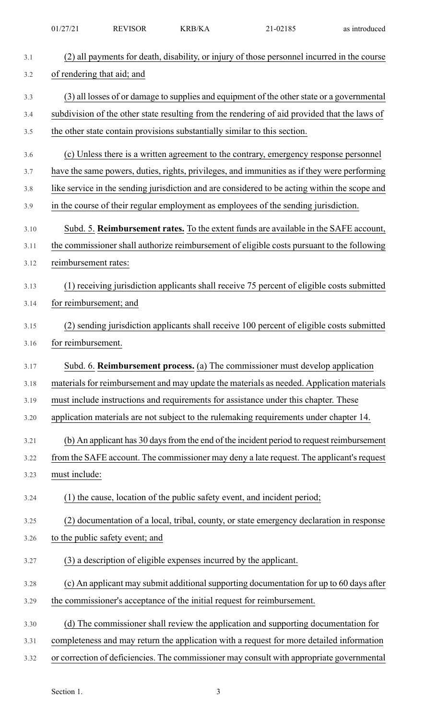|      | 01/27/21                                                                                                                  | <b>REVISOR</b>                                                    | <b>KRB/KA</b> | 21-02185                                                                                      | as introduced |
|------|---------------------------------------------------------------------------------------------------------------------------|-------------------------------------------------------------------|---------------|-----------------------------------------------------------------------------------------------|---------------|
| 3.1  |                                                                                                                           |                                                                   |               |                                                                                               |               |
| 3.2  | (2) all payments for death, disability, or injury of those personnel incurred in the course<br>of rendering that aid; and |                                                                   |               |                                                                                               |               |
| 3.3  | (3) all losses of or damage to supplies and equipment of the other state or a governmental                                |                                                                   |               |                                                                                               |               |
| 3.4  |                                                                                                                           |                                                                   |               | subdivision of the other state resulting from the rendering of aid provided that the laws of  |               |
| 3.5  |                                                                                                                           |                                                                   |               | the other state contain provisions substantially similar to this section.                     |               |
| 3.6  |                                                                                                                           |                                                                   |               | (c) Unless there is a written agreement to the contrary, emergency response personnel         |               |
| 3.7  |                                                                                                                           |                                                                   |               | have the same powers, duties, rights, privileges, and immunities as if they were performing   |               |
| 3.8  |                                                                                                                           |                                                                   |               | like service in the sending jurisdiction and are considered to be acting within the scope and |               |
| 3.9  |                                                                                                                           |                                                                   |               | in the course of their regular employment as employees of the sending jurisdiction.           |               |
| 3.10 |                                                                                                                           |                                                                   |               | Subd. 5. Reimbursement rates. To the extent funds are available in the SAFE account,          |               |
| 3.11 |                                                                                                                           |                                                                   |               | the commissioner shall authorize reimbursement of eligible costs pursuant to the following    |               |
| 3.12 | reimbursement rates:                                                                                                      |                                                                   |               |                                                                                               |               |
| 3.13 |                                                                                                                           |                                                                   |               | (1) receiving jurisdiction applicants shall receive 75 percent of eligible costs submitted    |               |
| 3.14 |                                                                                                                           | for reimbursement; and                                            |               |                                                                                               |               |
| 3.15 |                                                                                                                           |                                                                   |               | (2) sending jurisdiction applicants shall receive 100 percent of eligible costs submitted     |               |
| 3.16 | for reimbursement.                                                                                                        |                                                                   |               |                                                                                               |               |
| 3.17 |                                                                                                                           |                                                                   |               | Subd. 6. Reimbursement process. (a) The commissioner must develop application                 |               |
| 3.18 |                                                                                                                           |                                                                   |               | materials for reimbursement and may update the materials as needed. Application materials     |               |
| 3.19 |                                                                                                                           |                                                                   |               | must include instructions and requirements for assistance under this chapter. These           |               |
|      |                                                                                                                           |                                                                   |               | application materials are not subject to the rulemaking requirements under chapter 14.        |               |
| 3.20 |                                                                                                                           |                                                                   |               |                                                                                               |               |
| 3.21 |                                                                                                                           |                                                                   |               | (b) An applicant has 30 days from the end of the incident period to request reimbursement     |               |
| 3.22 |                                                                                                                           |                                                                   |               | from the SAFE account. The commissioner may deny a late request. The applicant's request      |               |
| 3.23 | must include:                                                                                                             |                                                                   |               |                                                                                               |               |
| 3.24 |                                                                                                                           |                                                                   |               | (1) the cause, location of the public safety event, and incident period;                      |               |
| 3.25 |                                                                                                                           |                                                                   |               | (2) documentation of a local, tribal, county, or state emergency declaration in response      |               |
| 3.26 |                                                                                                                           | to the public safety event; and                                   |               |                                                                                               |               |
| 3.27 |                                                                                                                           | (3) a description of eligible expenses incurred by the applicant. |               |                                                                                               |               |
| 3.28 |                                                                                                                           |                                                                   |               | (c) An applicant may submit additional supporting documentation for up to 60 days after       |               |
| 3.29 |                                                                                                                           |                                                                   |               | the commissioner's acceptance of the initial request for reimbursement.                       |               |
| 3.30 |                                                                                                                           |                                                                   |               | (d) The commissioner shall review the application and supporting documentation for            |               |
| 3.31 |                                                                                                                           |                                                                   |               | completeness and may return the application with a request for more detailed information      |               |
| 3.32 |                                                                                                                           |                                                                   |               | or correction of deficiencies. The commissioner may consult with appropriate governmental     |               |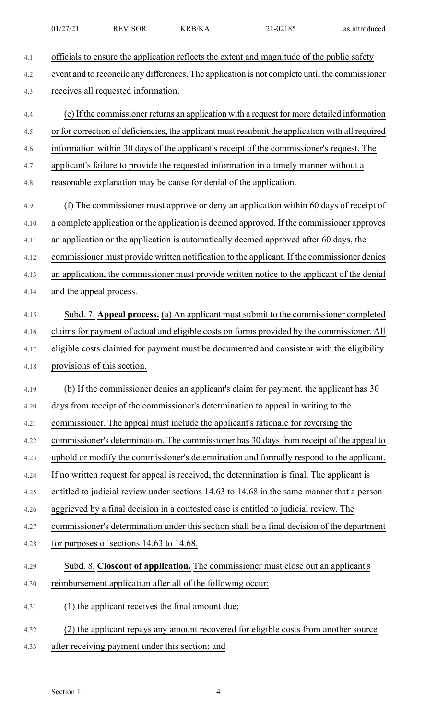| 01/27/21 | <b>REVISOR</b> | <b>KRB/KA</b> | $21-02185$ | as introduced |
|----------|----------------|---------------|------------|---------------|
|          |                |               |            |               |

| 4.1  | officials to ensure the application reflects the extent and magnitude of the public safety       |
|------|--------------------------------------------------------------------------------------------------|
| 4.2  | event and to reconcile any differences. The application is not complete until the commissioner   |
| 4.3  | receives all requested information.                                                              |
| 4.4  | (e) If the commissioner returns an application with a request for more detailed information      |
| 4.5  | or for correction of deficiencies, the applicant must resubmit the application with all required |
| 4.6  | information within 30 days of the applicant's receipt of the commissioner's request. The         |
| 4.7  | applicant's failure to provide the requested information in a timely manner without a            |
| 4.8  | reasonable explanation may be cause for denial of the application.                               |
| 4.9  | (f) The commissioner must approve or deny an application within 60 days of receipt of            |
| 4.10 | a complete application or the application is deemed approved. If the commissioner approves       |
| 4.11 | an application or the application is automatically deemed approved after 60 days, the            |
| 4.12 | commissioner must provide written notification to the applicant. If the commissioner denies      |
| 4.13 | an application, the commissioner must provide written notice to the applicant of the denial      |
| 4.14 | and the appeal process.                                                                          |
| 4.15 | Subd. 7. Appeal process. (a) An applicant must submit to the commissioner completed              |
| 4.16 | claims for payment of actual and eligible costs on forms provided by the commissioner. All       |
| 4.17 | eligible costs claimed for payment must be documented and consistent with the eligibility        |
| 4.18 | provisions of this section.                                                                      |
| 4.19 | (b) If the commissioner denies an applicant's claim for payment, the applicant has 30            |
| 4.20 | days from receipt of the commissioner's determination to appeal in writing to the                |
| 4.21 | commissioner. The appeal must include the applicant's rationale for reversing the                |
| 4.22 | commissioner's determination. The commissioner has 30 days from receipt of the appeal to         |
| 4.23 | uphold or modify the commissioner's determination and formally respond to the applicant.         |
| 4.24 | If no written request for appeal is received, the determination is final. The applicant is       |
| 4.25 | entitled to judicial review under sections 14.63 to 14.68 in the same manner that a person       |
| 4.26 | aggrieved by a final decision in a contested case is entitled to judicial review. The            |
| 4.27 | commissioner's determination under this section shall be a final decision of the department      |
| 4.28 | for purposes of sections 14.63 to 14.68.                                                         |
| 4.29 | Subd. 8. Closeout of application. The commissioner must close out an applicant's                 |
| 4.30 | reimbursement application after all of the following occur:                                      |
| 4.31 | (1) the applicant receives the final amount due;                                                 |
| 4.32 | (2) the applicant repays any amount recovered for eligible costs from another source             |
| 4.33 | after receiving payment under this section; and                                                  |